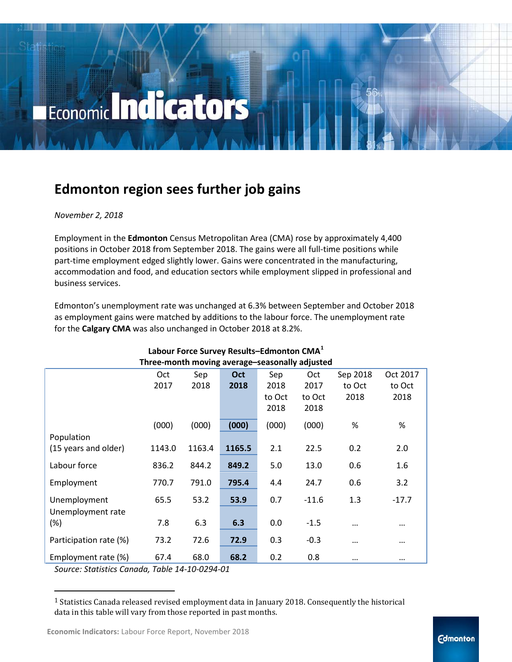# Economic Indicators

### **Edmonton region sees further job gains**

### *November 2, 2018*

Employment in the **Edmonton** Census Metropolitan Area (CMA) rose by approximately 4,400 positions in October 2018 from September 2018. The gains were all full-time positions while part-time employment edged slightly lower. Gains were concentrated in the manufacturing, accommodation and food, and education sectors while employment slipped in professional and business services.

Edmonton's unemployment rate was unchanged at 6.3% between September and October 2018 as employment gains were matched by additions to the labour force. The unemployment rate for the **Calgary CMA** was also unchanged in October 2018 at 8.2%.

| Three-month moving average-seasonally adjusted |        |        |            |        |         |          |          |
|------------------------------------------------|--------|--------|------------|--------|---------|----------|----------|
|                                                | Oct    | Sep    | <b>Oct</b> | Sep    | Oct     | Sep 2018 | Oct 2017 |
|                                                | 2017   | 2018   | 2018       | 2018   | 2017    | to Oct   | to Oct   |
|                                                |        |        |            | to Oct | to Oct  | 2018     | 2018     |
|                                                |        |        |            | 2018   | 2018    |          |          |
|                                                | (000)  | (000)  | (000)      | (000)  | (000)   | %        | %        |
| Population                                     |        |        |            |        |         |          |          |
| (15 years and older)                           | 1143.0 | 1163.4 | 1165.5     | 2.1    | 22.5    | 0.2      | 2.0      |
| Labour force                                   | 836.2  | 844.2  | 849.2      | 5.0    | 13.0    | 0.6      | 1.6      |
| Employment                                     | 770.7  | 791.0  | 795.4      | 4.4    | 24.7    | 0.6      | 3.2      |
| Unemployment                                   | 65.5   | 53.2   | 53.9       | 0.7    | $-11.6$ | 1.3      | $-17.7$  |
| Unemployment rate                              |        |        |            |        |         |          |          |
| $(\%)$                                         | 7.8    | 6.3    | 6.3        | 0.0    | $-1.5$  |          | $\cdots$ |
| Participation rate (%)                         | 73.2   | 72.6   | 72.9       | 0.3    | $-0.3$  | $\cdots$ |          |
| Employment rate (%)                            | 67.4   | 68.0   | 68.2       | 0.2    | 0.8     | $\cdots$ | $\cdots$ |

## **Labour Force Survey Results–Edmonton CMA[1](#page-0-0)**

*Source: Statistics Canada, Table 14-10-0294-01*

<span id="page-0-0"></span><sup>&</sup>lt;sup>1</sup> Statistics Canada released revised employment data in January 2018. Consequently the historical data in this table will vary from those reported in past months. i,